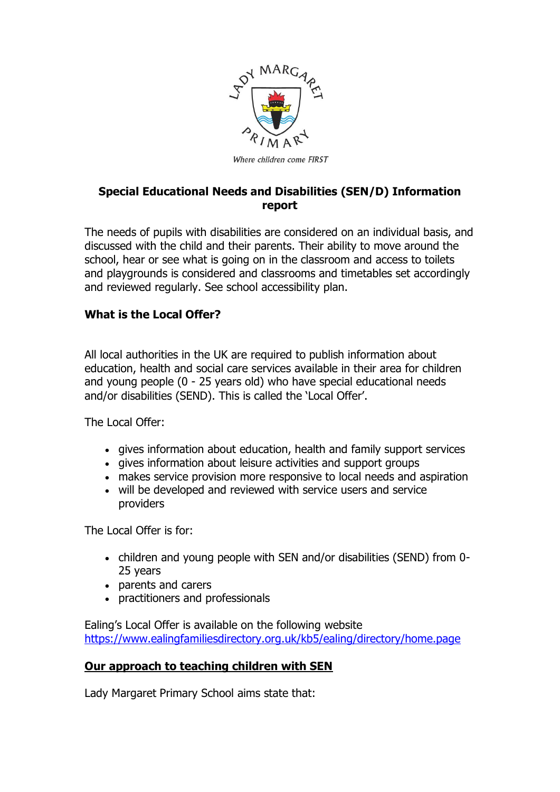

# **Special Educational Needs and Disabilities (SEN/D) Information report**

The needs of pupils with disabilities are considered on an individual basis, and discussed with the child and their parents. Their ability to move around the school, hear or see what is going on in the classroom and access to toilets and playgrounds is considered and classrooms and timetables set accordingly and reviewed regularly. See school accessibility plan.

# **What is the Local Offer?**

All local authorities in the UK are required to publish information about education, health and social care services available in their area for children and young people (0 - 25 years old) who have special educational needs and/or disabilities (SEND). This is called the 'Local Offer'.

The Local Offer:

- gives information about education, health and family support services
- gives information about leisure activities and support groups
- makes service provision more responsive to local needs and aspiration
- will be developed and reviewed with service users and service providers

The Local Offer is for:

- children and young people with SEN and/or disabilities (SEND) from 0- 25 years
- parents and carers
- practitioners and professionals

Ealing's Local Offer is available on the following website <https://www.ealingfamiliesdirectory.org.uk/kb5/ealing/directory/home.page>

# **Our approach to teaching children with SEN**

Lady Margaret Primary School aims state that: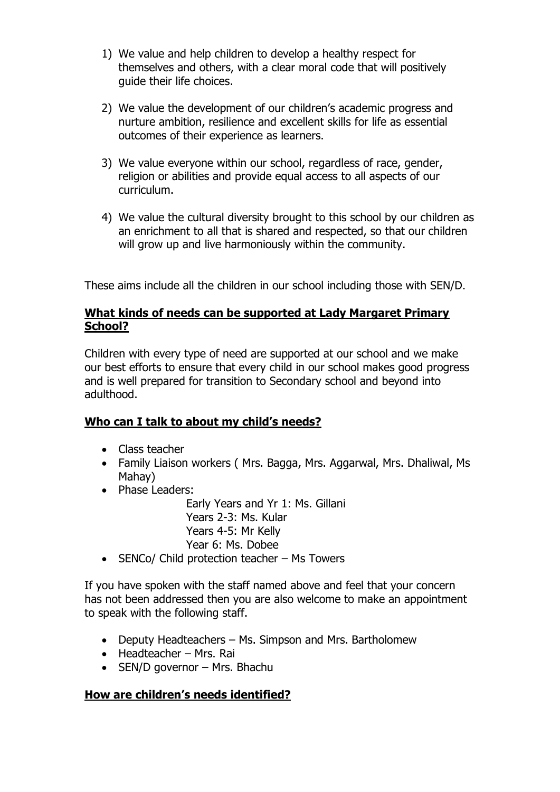- 1) We value and help children to develop a healthy respect for themselves and others, with a clear moral code that will positively guide their life choices.
- 2) We value the development of our children's academic progress and nurture ambition, resilience and excellent skills for life as essential outcomes of their experience as learners.
- 3) We value everyone within our school, regardless of race, gender, religion or abilities and provide equal access to all aspects of our curriculum.
- 4) We value the cultural diversity brought to this school by our children as an enrichment to all that is shared and respected, so that our children will grow up and live harmoniously within the community.

These aims include all the children in our school including those with SEN/D.

### **What kinds of needs can be supported at Lady Margaret Primary School?**

Children with every type of need are supported at our school and we make our best efforts to ensure that every child in our school makes good progress and is well prepared for transition to Secondary school and beyond into adulthood.

# **Who can I talk to about my child's needs?**

- Class teacher
- Family Liaison workers (Mrs. Bagga, Mrs. Aggarwal, Mrs. Dhaliwal, Ms Mahay)
- Phase Leaders:

Early Years and Yr 1: Ms. Gillani Years 2-3: Ms. Kular Years 4-5: Mr Kelly Year 6: Ms. Dobee

• SENCo/ Child protection teacher – Ms Towers

If you have spoken with the staff named above and feel that your concern has not been addressed then you are also welcome to make an appointment to speak with the following staff.

- Deputy Headteachers Ms. Simpson and Mrs. Bartholomew
- Headteacher Mrs. Rai
- $\bullet$  SEN/D governor Mrs. Bhachu

# **How are children's needs identified?**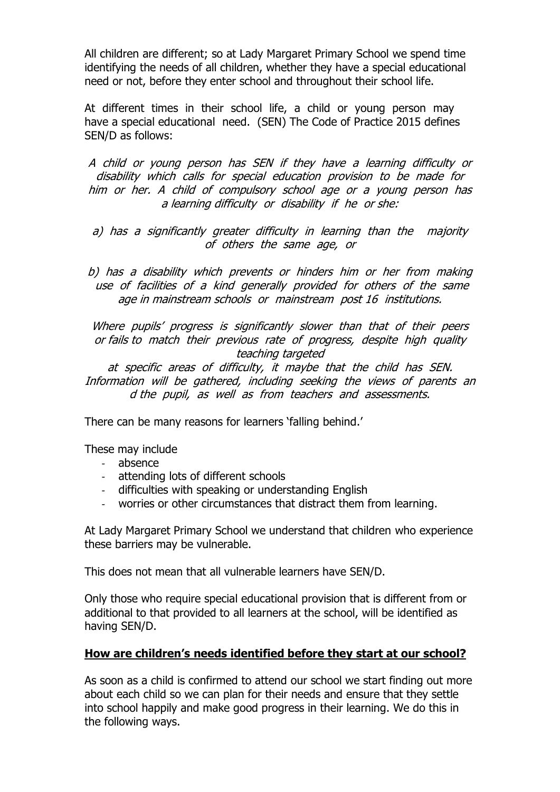All children are different; so at Lady Margaret Primary School we spend time identifying the needs of all children, whether they have a special educational need or not, before they enter school and throughout their school life.

At different times in their school life, a child or young person may have a special educational need. (SEN) The Code of Practice 2015 defines SEN/D as follows:

A child or young person has SEN if they have a learning difficulty or disability which calls for special education provision to be made for him or her. A child of compulsory school age or a young person has <sup>a</sup> learning difficulty or disability if he or she:

a) has a significantly greater difficulty in learning than the majority of others the same age, or

b) has a disability which prevents or hinders him or her from making use of facilities of a kind generally provided for others of the same age in mainstream schools or mainstream post 16 institutions.

Where pupils' progress is significantly slower than that of their peers or fails to match their previous rate of progress, despite high quality teaching targeted

at specific areas of difficulty, it maybe that the child has SEN. Information will be gathered, including seeking the views of parents an d the pupil, as well as from teachers and assessments.

There can be many reasons for learners 'falling behind.'

These may include

- absence
- attending lots of different schools
- difficulties with speaking or understanding English
- worries or other circumstances that distract them from learning.

At Lady Margaret Primary School we understand that children who experience these barriers may be vulnerable.

This does not mean that all vulnerable learners have SEN/D.

Only those who require special educational provision that is different from or additional to that provided to all learners at the school, will be identified as having SEN/D.

#### **How are children's needs identified before they start at our school?**

As soon as a child is confirmed to attend our school we start finding out more about each child so we can plan for their needs and ensure that they settle into school happily and make good progress in their learning. We do this in the following ways.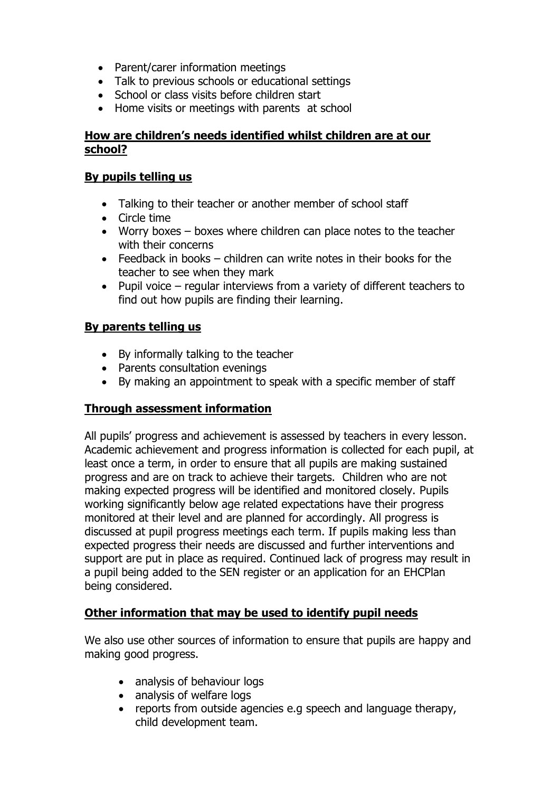- Parent/carer information meetings
- Talk to previous schools or educational settings
- School or class visits before children start
- Home visits or meetings with parents at school

### **How are children's needs identified whilst children are at our school?**

#### **By pupils telling us**

- Talking to their teacher or another member of school staff
- Circle time
- Worry boxes boxes where children can place notes to the teacher with their concerns
- Feedback in books children can write notes in their books for the teacher to see when they mark
- Pupil voice regular interviews from a variety of different teachers to find out how pupils are finding their learning.

### **By parents telling us**

- By informally talking to the teacher
- Parents consultation evenings
- By making an appointment to speak with a specific member of staff

### **Through assessment information**

All pupils' progress and achievement is assessed by teachers in every lesson. Academic achievement and progress information is collected for each pupil, at least once a term, in order to ensure that all pupils are making sustained progress and are on track to achieve their targets. Children who are not making expected progress will be identified and monitored closely. Pupils working significantly below age related expectations have their progress monitored at their level and are planned for accordingly. All progress is discussed at pupil progress meetings each term. If pupils making less than expected progress their needs are discussed and further interventions and support are put in place as required. Continued lack of progress may result in a pupil being added to the SEN register or an application for an EHCPlan being considered.

# **Other information that may be used to identify pupil needs**

We also use other sources of information to ensure that pupils are happy and making good progress.

- analysis of behaviour logs
- analysis of welfare logs
- reports from outside agencies e.g speech and language therapy, child development team.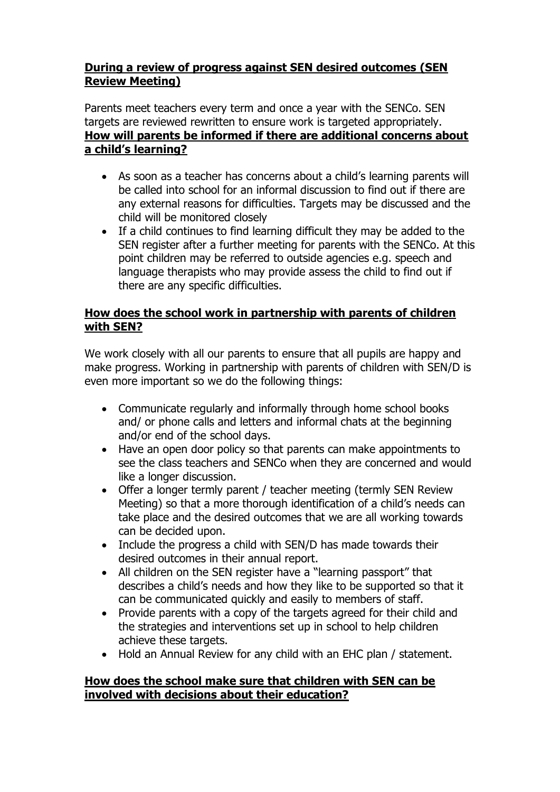# **During a review of progress against SEN desired outcomes (SEN Review Meeting)**

Parents meet teachers every term and once a year with the SENCo. SEN targets are reviewed rewritten to ensure work is targeted appropriately. **How will parents be informed if there are additional concerns about a child's learning?**

- As soon as a teacher has concerns about a child's learning parents will be called into school for an informal discussion to find out if there are any external reasons for difficulties. Targets may be discussed and the child will be monitored closely
- If a child continues to find learning difficult they may be added to the SEN register after a further meeting for parents with the SENCo. At this point children may be referred to outside agencies e.g. speech and language therapists who may provide assess the child to find out if there are any specific difficulties.

### **How does the school work in partnership with parents of children with SEN?**

We work closely with all our parents to ensure that all pupils are happy and make progress. Working in partnership with parents of children with SEN/D is even more important so we do the following things:

- Communicate regularly and informally through home school books and/ or phone calls and letters and informal chats at the beginning and/or end of the school days.
- Have an open door policy so that parents can make appointments to see the class teachers and SENCo when they are concerned and would like a longer discussion.
- Offer a longer termly parent / teacher meeting (termly SEN Review Meeting) so that a more thorough identification of a child's needs can take place and the desired outcomes that we are all working towards can be decided upon.
- Include the progress a child with SEN/D has made towards their desired outcomes in their annual report.
- All children on the SEN register have a "learning passport" that describes a child's needs and how they like to be supported so that it can be communicated quickly and easily to members of staff.
- Provide parents with a copy of the targets agreed for their child and the strategies and interventions set up in school to help children achieve these targets.
- Hold an Annual Review for any child with an EHC plan / statement.

### **How does the school make sure that children with SEN can be involved with decisions about their education?**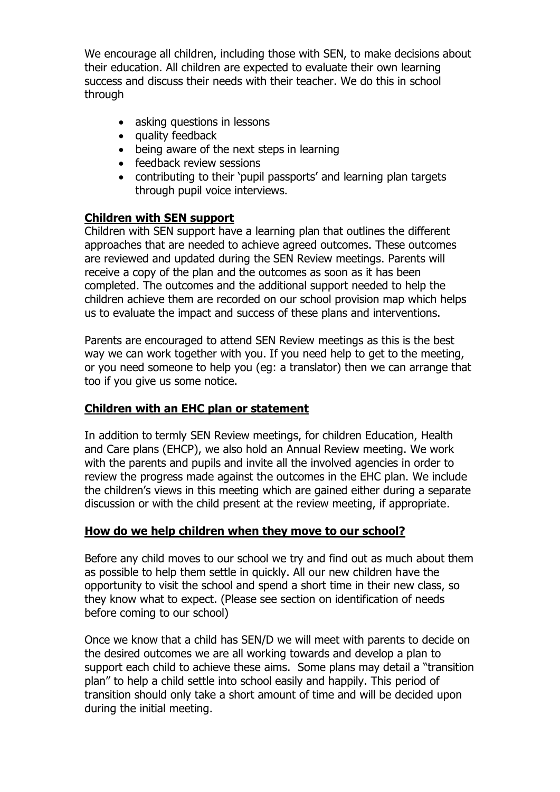We encourage all children, including those with SEN, to make decisions about their education. All children are expected to evaluate their own learning success and discuss their needs with their teacher. We do this in school through

- asking questions in lessons
- quality feedback
- being aware of the next steps in learning
- feedback review sessions
- contributing to their 'pupil passports' and learning plan targets through pupil voice interviews.

# **Children with SEN support**

Children with SEN support have a learning plan that outlines the different approaches that are needed to achieve agreed outcomes. These outcomes are reviewed and updated during the SEN Review meetings. Parents will receive a copy of the plan and the outcomes as soon as it has been completed. The outcomes and the additional support needed to help the children achieve them are recorded on our school provision map which helps us to evaluate the impact and success of these plans and interventions.

Parents are encouraged to attend SEN Review meetings as this is the best way we can work together with you. If you need help to get to the meeting, or you need someone to help you (eg: a translator) then we can arrange that too if you give us some notice.

# **Children with an EHC plan or statement**

In addition to termly SEN Review meetings, for children Education, Health and Care plans (EHCP), we also hold an Annual Review meeting. We work with the parents and pupils and invite all the involved agencies in order to review the progress made against the outcomes in the EHC plan. We include the children's views in this meeting which are gained either during a separate discussion or with the child present at the review meeting, if appropriate.

# **How do we help children when they move to our school?**

Before any child moves to our school we try and find out as much about them as possible to help them settle in quickly. All our new children have the opportunity to visit the school and spend a short time in their new class, so they know what to expect. (Please see section on identification of needs before coming to our school)

Once we know that a child has SEN/D we will meet with parents to decide on the desired outcomes we are all working towards and develop a plan to support each child to achieve these aims. Some plans may detail a "transition plan" to help a child settle into school easily and happily. This period of transition should only take a short amount of time and will be decided upon during the initial meeting.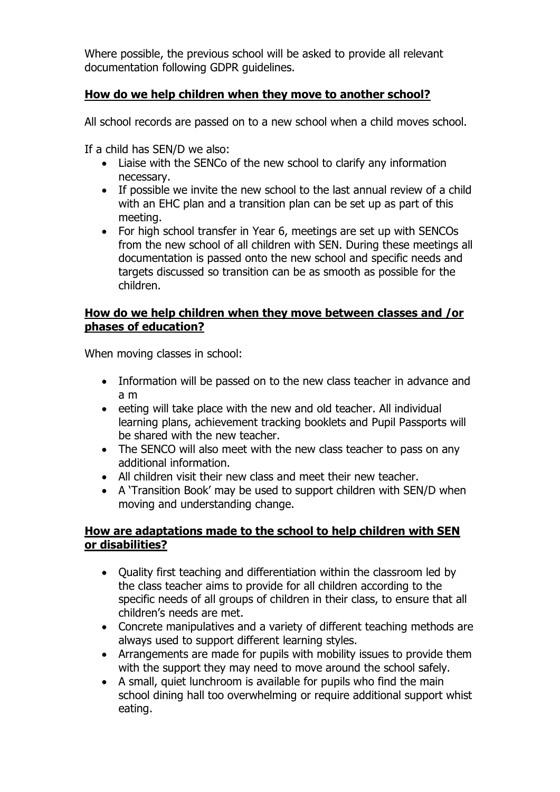Where possible, the previous school will be asked to provide all relevant documentation following GDPR guidelines.

# **How do we help children when they move to another school?**

All school records are passed on to a new school when a child moves school.

If a child has SEN/D we also:

- Liaise with the SENCo of the new school to clarify any information necessary.
- If possible we invite the new school to the last annual review of a child with an EHC plan and a transition plan can be set up as part of this meeting.
- For high school transfer in Year 6, meetings are set up with SENCOs from the new school of all children with SEN. During these meetings all documentation is passed onto the new school and specific needs and targets discussed so transition can be as smooth as possible for the children.

### **How do we help children when they move between classes and /or phases of education?**

When moving classes in school:

- Information will be passed on to the new class teacher in advance and a m
- $\bullet$  eeting will take place with the new and old teacher. All individual learning plans, achievement tracking booklets and Pupil Passports will be shared with the new teacher.
- The SENCO will also meet with the new class teacher to pass on any additional information.
- All children visit their new class and meet their new teacher.
- A 'Transition Book' may be used to support children with SEN/D when moving and understanding change.

### **How are adaptations made to the school to help children with SEN or disabilities?**

- Ouality first teaching and differentiation within the classroom led by the class teacher aims to provide for all children according to the specific needs of all groups of children in their class, to ensure that all children's needs are met.
- Concrete manipulatives and a variety of different teaching methods are always used to support different learning styles.
- Arrangements are made for pupils with mobility issues to provide them with the support they may need to move around the school safely.
- A small, quiet lunchroom is available for pupils who find the main school dining hall too overwhelming or require additional support whist eating.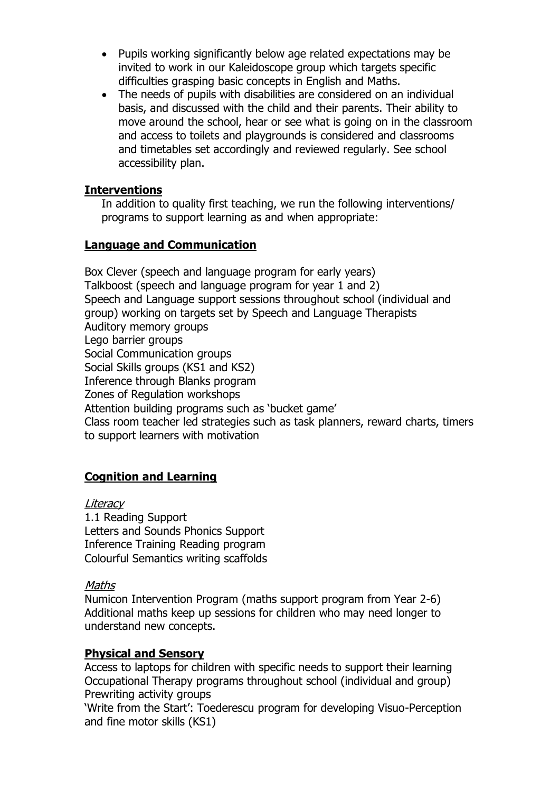- Pupils working significantly below age related expectations may be invited to work in our Kaleidoscope group which targets specific difficulties grasping basic concepts in English and Maths.
- The needs of pupils with disabilities are considered on an individual basis, and discussed with the child and their parents. Their ability to move around the school, hear or see what is going on in the classroom and access to toilets and playgrounds is considered and classrooms and timetables set accordingly and reviewed regularly. See school accessibility plan.

#### **Interventions**

In addition to quality first teaching, we run the following interventions/ programs to support learning as and when appropriate:

### **Language and Communication**

Box Clever (speech and language program for early years) Talkboost (speech and language program for year 1 and 2) Speech and Language support sessions throughout school (individual and group) working on targets set by Speech and Language Therapists Auditory memory groups Lego barrier groups Social Communication groups Social Skills groups (KS1 and KS2) Inference through Blanks program Zones of Regulation workshops Attention building programs such as 'bucket game' Class room teacher led strategies such as task planners, reward charts, timers to support learners with motivation

# **Cognition and Learning**

**Literacy** 1.1 Reading Support Letters and Sounds Phonics Support Inference Training Reading program Colourful Semantics writing scaffolds

#### Maths

Numicon Intervention Program (maths support program from Year 2-6) Additional maths keep up sessions for children who may need longer to understand new concepts.

#### **Physical and Sensory**

Access to laptops for children with specific needs to support their learning Occupational Therapy programs throughout school (individual and group) Prewriting activity groups

'Write from the Start': Toederescu program for developing Visuo-Perception and fine motor skills (KS1)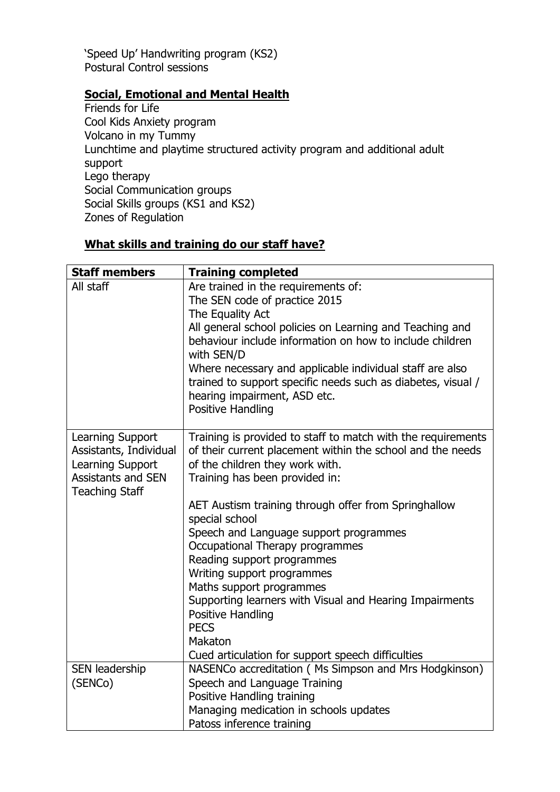'Speed Up' Handwriting program (KS2) Postural Control sessions

# **Social, Emotional and Mental Health**

Friends for Life Cool Kids Anxiety program Volcano in my Tummy Lunchtime and playtime structured activity program and additional adult support Lego therapy Social Communication groups Social Skills groups (KS1 and KS2) Zones of Regulation

# **What skills and training do our staff have?**

| <b>Staff members</b>                                                                                                 | <b>Training completed</b>                                                                                                                                                                                                                                                                                                                                                                                                                                                                                                                                                                                            |  |  |
|----------------------------------------------------------------------------------------------------------------------|----------------------------------------------------------------------------------------------------------------------------------------------------------------------------------------------------------------------------------------------------------------------------------------------------------------------------------------------------------------------------------------------------------------------------------------------------------------------------------------------------------------------------------------------------------------------------------------------------------------------|--|--|
| All staff                                                                                                            | Are trained in the requirements of:<br>The SEN code of practice 2015<br>The Equality Act<br>All general school policies on Learning and Teaching and<br>behaviour include information on how to include children<br>with SEN/D<br>Where necessary and applicable individual staff are also<br>trained to support specific needs such as diabetes, visual /<br>hearing impairment, ASD etc.<br>Positive Handling                                                                                                                                                                                                      |  |  |
| Learning Support<br>Assistants, Individual<br>Learning Support<br><b>Assistants and SEN</b><br><b>Teaching Staff</b> | Training is provided to staff to match with the requirements<br>of their current placement within the school and the needs<br>of the children they work with.<br>Training has been provided in:<br>AET Austism training through offer from Springhallow<br>special school<br>Speech and Language support programmes<br>Occupational Therapy programmes<br>Reading support programmes<br>Writing support programmes<br>Maths support programmes<br>Supporting learners with Visual and Hearing Impairments<br><b>Positive Handling</b><br><b>PECS</b><br>Makaton<br>Cued articulation for support speech difficulties |  |  |
| SEN leadership<br>(SENCo)                                                                                            | NASENCo accreditation (Ms Simpson and Mrs Hodgkinson)<br>Speech and Language Training<br>Positive Handling training<br>Managing medication in schools updates<br>Patoss inference training                                                                                                                                                                                                                                                                                                                                                                                                                           |  |  |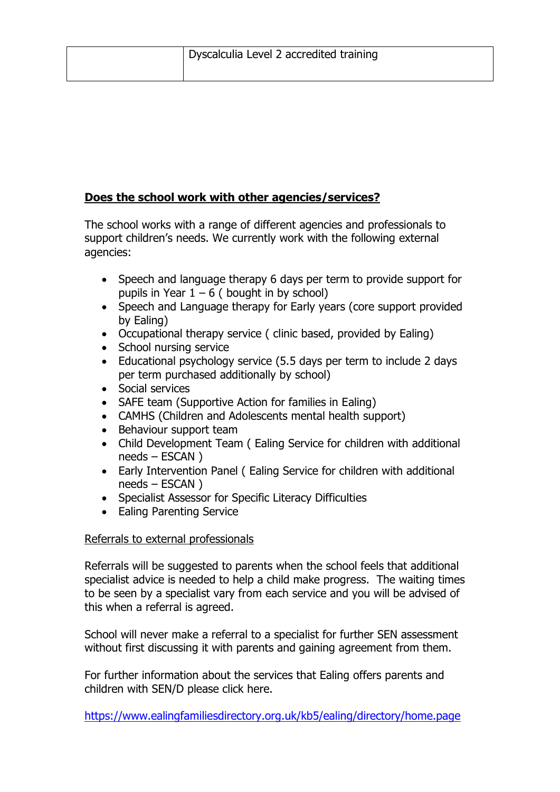# **Does the school work with other agencies/services?**

The school works with a range of different agencies and professionals to support children's needs. We currently work with the following external agencies:

- Speech and language therapy 6 days per term to provide support for pupils in Year  $1 - 6$  ( bought in by school)
- Speech and Language therapy for Early years (core support provided by Ealing)
- Occupational therapy service ( clinic based, provided by Ealing)
- School nursing service
- Educational psychology service (5.5 days per term to include 2 days per term purchased additionally by school)
- Social services
- SAFE team (Supportive Action for families in Ealing)
- CAMHS (Children and Adolescents mental health support)
- Behaviour support team
- Child Development Team ( Ealing Service for children with additional needs – ESCAN )
- Early Intervention Panel ( Ealing Service for children with additional needs – ESCAN )
- Specialist Assessor for Specific Literacy Difficulties
- Ealing Parenting Service

# Referrals to external professionals

Referrals will be suggested to parents when the school feels that additional specialist advice is needed to help a child make progress. The waiting times to be seen by a specialist vary from each service and you will be advised of this when a referral is agreed.

School will never make a referral to a specialist for further SEN assessment without first discussing it with parents and gaining agreement from them.

For further information about the services that Ealing offers parents and children with SEN/D please click here.

<https://www.ealingfamiliesdirectory.org.uk/kb5/ealing/directory/home.page>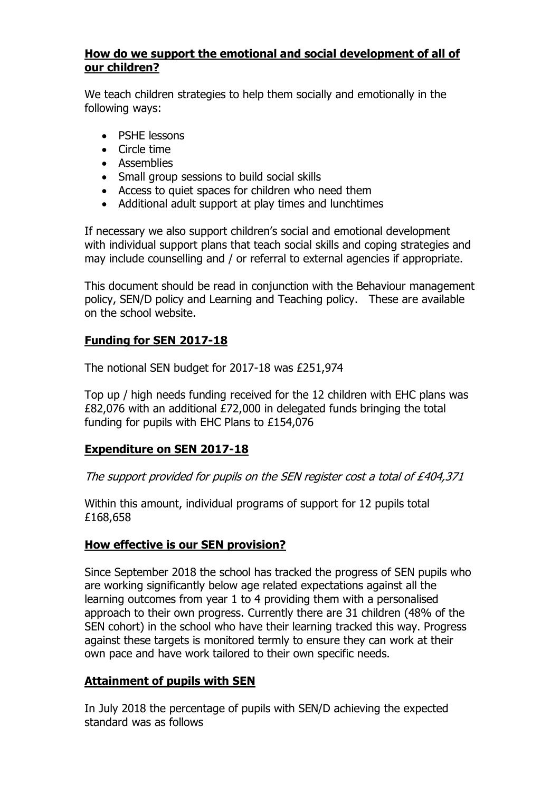### **How do we support the emotional and social development of all of our children?**

We teach children strategies to help them socially and emotionally in the following ways:

- PSHE lessons
- Circle time
- Assemblies
- Small group sessions to build social skills
- Access to quiet spaces for children who need them
- Additional adult support at play times and lunchtimes

If necessary we also support children's social and emotional development with individual support plans that teach social skills and coping strategies and may include counselling and / or referral to external agencies if appropriate.

This document should be read in conjunction with the Behaviour management policy, SEN/D policy and Learning and Teaching policy. These are available on the school website.

# **Funding for SEN 2017-18**

The notional SEN budget for 2017-18 was £251,974

Top up / high needs funding received for the 12 children with EHC plans was £82,076 with an additional £72,000 in delegated funds bringing the total funding for pupils with EHC Plans to £154,076

# **Expenditure on SEN 2017-18**

The support provided for pupils on the SEN register cost a total of £404,371

Within this amount, individual programs of support for 12 pupils total £168,658

### **How effective is our SEN provision?**

Since September 2018 the school has tracked the progress of SEN pupils who are working significantly below age related expectations against all the learning outcomes from year 1 to 4 providing them with a personalised approach to their own progress. Currently there are 31 children (48% of the SEN cohort) in the school who have their learning tracked this way. Progress against these targets is monitored termly to ensure they can work at their own pace and have work tailored to their own specific needs.

# **Attainment of pupils with SEN**

In July 2018 the percentage of pupils with SEN/D achieving the expected standard was as follows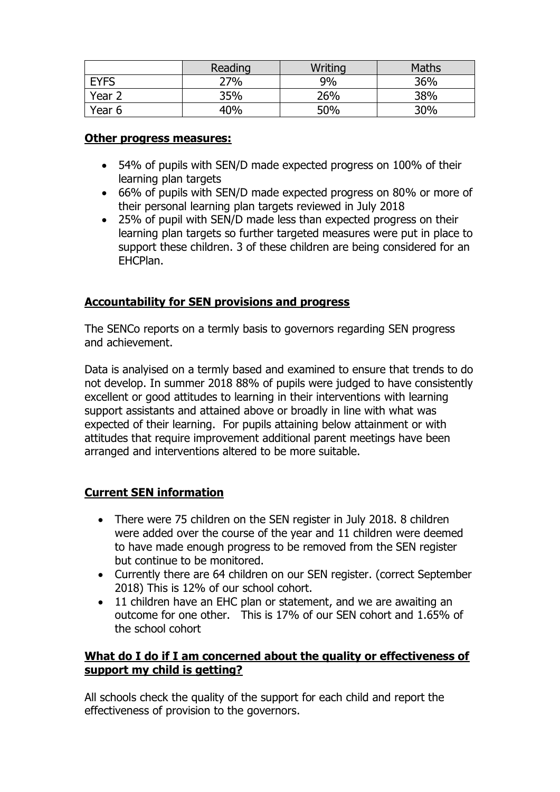|                   | Reading | Writing | <b>Maths</b> |
|-------------------|---------|---------|--------------|
| <b>EYFS</b>       | 27%     | 9%      | 36%          |
| Year <sub>2</sub> | 35%     | 26%     | 38%          |
| Year 6            | 40%     | 50%     | 30%          |

#### **Other progress measures:**

- 54% of pupils with SEN/D made expected progress on 100% of their learning plan targets
- 66% of pupils with SEN/D made expected progress on 80% or more of their personal learning plan targets reviewed in July 2018
- 25% of pupil with SEN/D made less than expected progress on their learning plan targets so further targeted measures were put in place to support these children. 3 of these children are being considered for an EHCPlan.

# **Accountability for SEN provisions and progress**

The SENCo reports on a termly basis to governors regarding SEN progress and achievement.

Data is analyised on a termly based and examined to ensure that trends to do not develop. In summer 2018 88% of pupils were judged to have consistently excellent or good attitudes to learning in their interventions with learning support assistants and attained above or broadly in line with what was expected of their learning. For pupils attaining below attainment or with attitudes that require improvement additional parent meetings have been arranged and interventions altered to be more suitable.

# **Current SEN information**

- There were 75 children on the SEN register in July 2018. 8 children were added over the course of the year and 11 children were deemed to have made enough progress to be removed from the SEN register but continue to be monitored.
- Currently there are 64 children on our SEN register. (correct September 2018) This is 12% of our school cohort.
- 11 children have an EHC plan or statement, and we are awaiting an outcome for one other. This is 17% of our SEN cohort and 1.65% of the school cohort

### **What do I do if I am concerned about the quality or effectiveness of support my child is getting?**

All schools check the quality of the support for each child and report the effectiveness of provision to the governors.